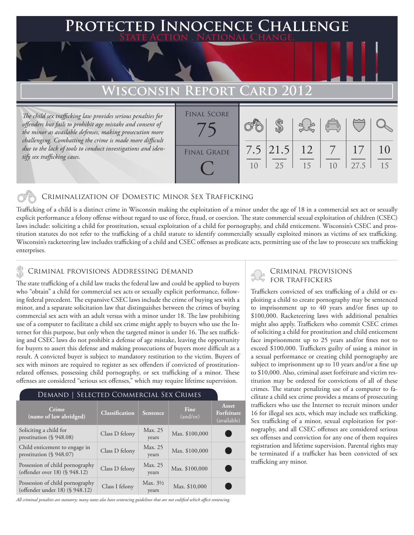### **PTED INNOCENCE CHALLENGE State Action . National Change.**

# **Wisconsin Report Card 2012**

*The child sex trafficking law provides serious penalties for offenders but fails to prohibit age mistake and consent of the minor as available defenses, making prosecution more challenging. Combatting the crime is made more difficult due to the lack of tools to conduct investigations and identify sex trafficking cases.*

| <b>FINAL SCORE</b> |    |                     |    | $\sqrt{\frac{1}{10}}$ |      |    |
|--------------------|----|---------------------|----|-----------------------|------|----|
| <b>FINAL GRADE</b> | 10 | $7.5$ 21.5 12<br>25 | 15 | 1 <sub>0</sub>        | 27.5 | 15 |

#### Criminalization of Domestic Minor Sex Trafficking

Trafficking of a child is a distinct crime in Wisconsin making the exploitation of a minor under the age of 18 in a commercial sex act or sexually explicit performance a felony offense without regard to use of force, fraud, or coercion. The state commercial sexual exploitation of children (CSEC) laws include: soliciting a child for prostitution, sexual exploitation of a child for pornography, and child enticement. Wisconsin's CSEC and prostitution statutes do not refer to the trafficking of a child statute to identify commercially sexually exploited minors as victims of sex trafficking. Wisconsin's racketeering law includes trafficking of a child and CSEC offenses as predicate acts, permitting use of the law to prosecute sex trafficking enterprises.

#### Criminal provisions Addressing demand

The state trafficking of a child law tracks the federal law and could be applied to buyers who "obtain" a child for commercial sex acts or sexually explicit performance, following federal precedent. The expansive CSEC laws include the crime of buying sex with a minor, and a separate solicitation law that distinguishes between the crimes of buying commercial sex acts with an adult versus with a minor under 18. The law prohibiting use of a computer to facilitate a child sex crime might apply to buyers who use the Internet for this purpose, but only when the targeted minor is under 16. The sex trafficking and CSEC laws do not prohibit a defense of age mistake, leaving the opportunity for buyers to assert this defense and making prosecutions of buyers more difficult as a result. A convicted buyer is subject to mandatory restitution to the victim. Buyers of sex with minors are required to register as sex offenders if convicted of prostitutionrelated offenses, possessing child pornography, or sex trafficking of a minor. These offenses are considered "serious sex offenses," which may require lifetime supervision.

#### Demand | Selected Commercial Sex Crimes

| Crime<br>(name of law abridged)                                   | <b>Classification</b> | Sentence                     | Fine<br>(and/or) | <b>Asset</b><br>Forfeiture<br>(available) |
|-------------------------------------------------------------------|-----------------------|------------------------------|------------------|-------------------------------------------|
| Soliciting a child for<br>prostitution $(\S 948.08)$              | Class D felony        | Max. 25<br>years             | Max. \$100,000   |                                           |
| Child enticement to engage in<br>prostitution $(\S 948.07)$       | Class D felony        | Max. 25<br>years             | Max. \$100,000   |                                           |
| Possession of child pornography<br>(offender over 18) (§ 948.12)  | Class D felony        | Max. 25<br>years             | Max. \$100,000   |                                           |
| Possession of child pornography<br>(offender under 18) (§ 948.12) | Class I felony        | Max. $3\frac{1}{2}$<br>years | Max. \$10,000    |                                           |

*All criminal penalties are statutory; many states also have sentencing guidelines that are not codified which affect sentencing.* 

# Criminal provisions

Traffickers convicted of sex trafficking of a child or exploiting a child to create pornography may be sentenced to imprisonment up to 40 years and/or fines up to \$100,000. Racketeering laws with additional penalties might also apply. Traffickers who commit CSEC crimes of soliciting a child for prostitution and child enticement face imprisonment up to 25 years and/or fines not to exceed \$100,000. Traffickers guilty of using a minor in a sexual performance or creating child pornography are subject to imprisonment up to 10 years and/or a fine up to \$10,000. Also, criminal asset forfeiture and victim restitution may be ordered for convictions of all of these crimes. The statute penalizing use of a computer to facilitate a child sex crime provides a means of prosecuting traffickers who use the Internet to recruit minors under 16 for illegal sex acts, which may include sex trafficking. Sex trafficking of a minor, sexual exploitation for pornography, and all CSEC offenses are considered serious sex offenses and conviction for any one of them requires registration and lifetime supervision. Parental rights may be terminated if a trafficker has been convicted of sex trafficking any minor.